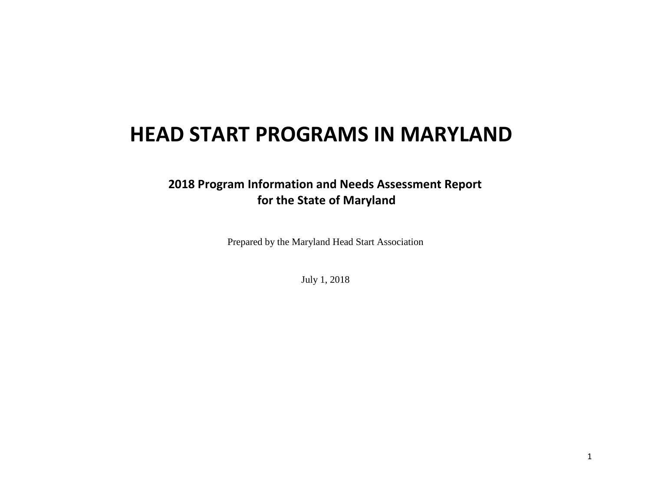# **HEAD START PROGRAMS IN MARYLAND**

# **2018 Program Information and Needs Assessment Report for the State of Maryland**

Prepared by the Maryland Head Start Association

July 1, 2018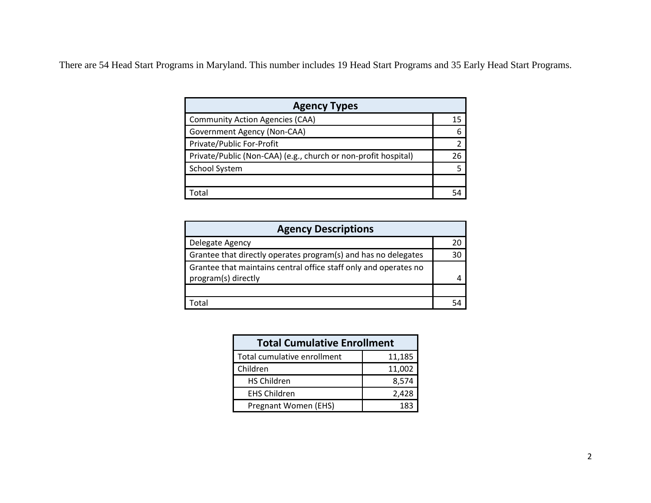There are 54 Head Start Programs in Maryland. This number includes 19 Head Start Programs and 35 Early Head Start Programs.

| <b>Agency Types</b>                                            |    |
|----------------------------------------------------------------|----|
| <b>Community Action Agencies (CAA)</b>                         | 15 |
| Government Agency (Non-CAA)                                    |    |
| Private/Public For-Profit                                      |    |
| Private/Public (Non-CAA) (e.g., church or non-profit hospital) | 26 |
| School System                                                  |    |
|                                                                |    |
| ntal                                                           |    |

| <b>Agency Descriptions</b>                                                              |    |
|-----------------------------------------------------------------------------------------|----|
| Delegate Agency                                                                         |    |
| Grantee that directly operates program(s) and has no delegates                          | 30 |
| Grantee that maintains central office staff only and operates no<br>program(s) directly |    |
|                                                                                         |    |
|                                                                                         |    |

| <b>Total Cumulative Enrollment</b> |        |
|------------------------------------|--------|
| Total cumulative enrollment        | 11,185 |
| Children                           | 11,002 |
| <b>HS Children</b>                 | 8,574  |
| <b>EHS Children</b>                | 2,428  |
| Pregnant Women (EHS)               | 183    |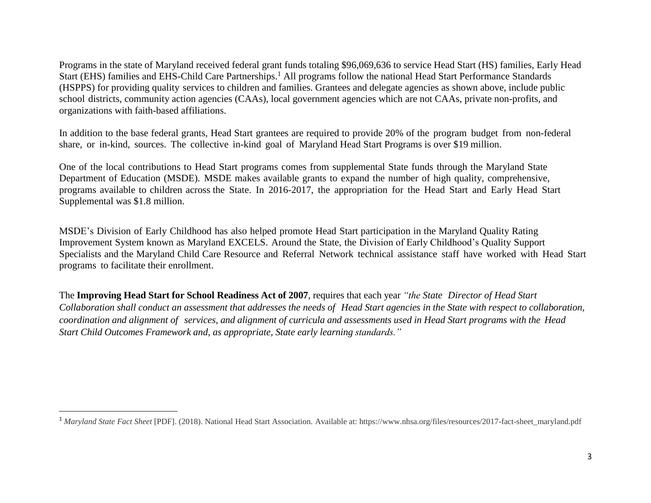Programs in the state of Maryland received federal grant funds totaling \$96,069,636 to service Head Start (HS) families, Early Head Start (EHS) families and EHS-Child Care Partnerships.<sup>1</sup> All programs follow the national Head Start Performance Standards (HSPPS) for providing quality services to children and families. Grantees and delegate agencies as shown above, include public school districts, community action agencies (CAAs), local government agencies which are not CAAs, private non-profits, and organizations with faith-based affiliations.

In addition to the base federal grants, Head Start grantees are required to provide 20% of the program budget from non-federal share, or in-kind, sources. The collective in-kind goal of Maryland Head Start Programs is over \$19 million.

One of the local contributions to Head Start programs comes from supplemental State funds through the Maryland State Department of Education (MSDE). MSDE makes available grants to expand the number of high quality, comprehensive, programs available to children across the State. In 2016-2017, the appropriation for the Head Start and Early Head Start Supplemental was \$1.8 million.

MSDE's Division of Early Childhood has also helped promote Head Start participation in the Maryland Quality Rating Improvement System known as Maryland EXCELS. Around the State, the Division of Early Childhood's Quality Support Specialists and the Maryland Child Care Resource and Referral Network technical assistance staff have worked with Head Start programs to facilitate their enrollment.

The **Improving Head Start for School Readiness Act of 2007**, requires that each year *"the State Director of Head Start* Collaboration shall conduct an assessment that addresses the needs of Head Start agencies in the State with respect to collaboration, *coordination and alignment of services, and alignment of curricula and assessments used in Head Start programs with the Head Start Child Outcomes Framework and, as appropriate, State early learning standards."*

 $\overline{a}$ 

<sup>1</sup> *Maryland State Fact Sheet* [PDF]. (2018). National Head Start Association. Available at: https://www.nhsa.org/files/resources/2017-fact-sheet\_maryland.pdf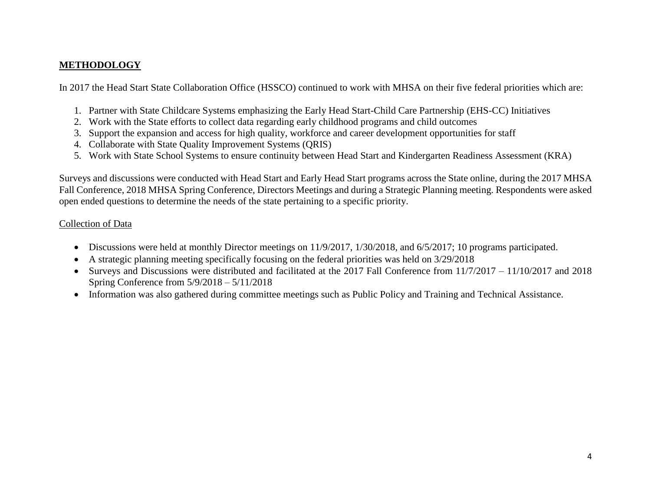# **METHODOLOGY**

In 2017 the Head Start State Collaboration Office (HSSCO) continued to work with MHSA on their five federal priorities which are:

- 1. Partner with State Childcare Systems emphasizing the Early Head Start-Child Care Partnership (EHS-CC) Initiatives
- 2. Work with the State efforts to collect data regarding early childhood programs and child outcomes
- 3. Support the expansion and access for high quality, workforce and career development opportunities for staff
- 4. Collaborate with State Quality Improvement Systems (QRIS)
- 5. Work with State School Systems to ensure continuity between Head Start and Kindergarten Readiness Assessment (KRA)

Surveys and discussions were conducted with Head Start and Early Head Start programs across the State online, during the 2017 MHSA Fall Conference, 2018 MHSA Spring Conference, Directors Meetings and during a Strategic Planning meeting. Respondents were asked open ended questions to determine the needs of the state pertaining to a specific priority.

# Collection of Data

- Discussions were held at monthly Director meetings on 11/9/2017, 1/30/2018, and 6/5/2017; 10 programs participated.
- A strategic planning meeting specifically focusing on the federal priorities was held on 3/29/2018
- Surveys and Discussions were distributed and facilitated at the 2017 Fall Conference from  $11/7/2017 11/10/2017$  and 2018 Spring Conference from 5/9/2018 – 5/11/2018
- Information was also gathered during committee meetings such as Public Policy and Training and Technical Assistance.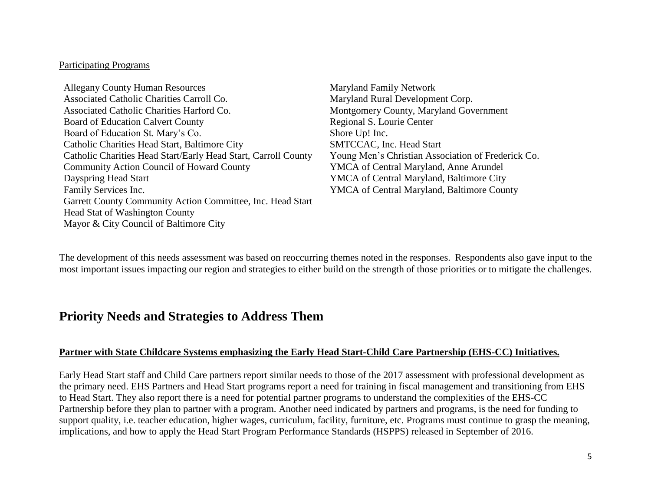#### Participating Programs

Allegany County Human Resources **Maryland Family Network** Associated Catholic Charities Carroll Co. Maryland Rural Development Corp. Associated Catholic Charities Harford Co. Montgomery County, Maryland Government Board of Education Calvert County **Regional S. Lourie Center** Board of Education St. Mary's Co. Shore Up! Inc. Catholic Charities Head Start, Baltimore City SMTCCAC, Inc. Head Start Catholic Charities Head Start/Early Head Start, Carroll County Young Men's Christian Association of Frederick Co. Community Action Council of Howard County YMCA of Central Maryland, Anne Arundel Dayspring Head Start YMCA of Central Maryland, Baltimore City Family Services Inc. The Services of Central Maryland, Baltimore County Garrett County Community Action Committee, Inc. Head Start Head Stat of Washington County Mayor & City Council of Baltimore City

The development of this needs assessment was based on reoccurring themes noted in the responses. Respondents also gave input to the most important issues impacting our region and strategies to either build on the strength of those priorities or to mitigate the challenges.

# **Priority Needs and Strategies to Address Them**

# **Partner with State Childcare Systems emphasizing the Early Head Start-Child Care Partnership (EHS-CC) Initiatives.**

Early Head Start staff and Child Care partners report similar needs to those of the 2017 assessment with professional development as the primary need. EHS Partners and Head Start programs report a need for training in fiscal management and transitioning from EHS to Head Start. They also report there is a need for potential partner programs to understand the complexities of the EHS-CC Partnership before they plan to partner with a program. Another need indicated by partners and programs, is the need for funding to support quality, i.e. teacher education, higher wages, curriculum, facility, furniture, etc. Programs must continue to grasp the meaning, implications, and how to apply the Head Start Program Performance Standards (HSPPS) released in September of 2016.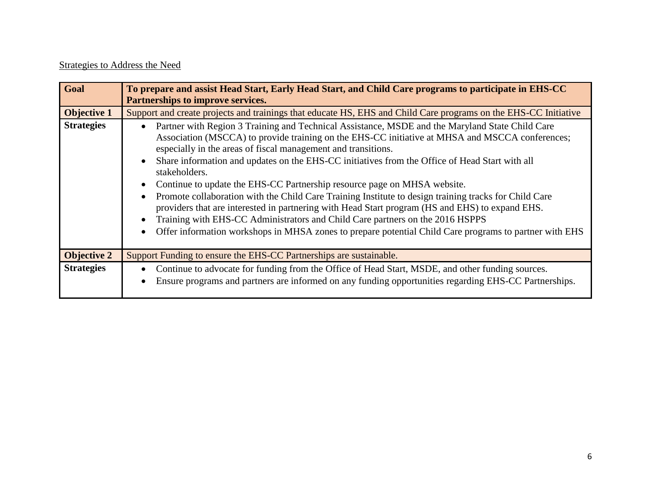# Strategies to Address the Need

| Goal               | To prepare and assist Head Start, Early Head Start, and Child Care programs to participate in EHS-CC<br>Partnerships to improve services.                                                                                                                                                                                                                                                                                                                                                                                                                                                                                                                                                                                                                                                                                                                                 |
|--------------------|---------------------------------------------------------------------------------------------------------------------------------------------------------------------------------------------------------------------------------------------------------------------------------------------------------------------------------------------------------------------------------------------------------------------------------------------------------------------------------------------------------------------------------------------------------------------------------------------------------------------------------------------------------------------------------------------------------------------------------------------------------------------------------------------------------------------------------------------------------------------------|
| <b>Objective 1</b> | Support and create projects and trainings that educate HS, EHS and Child Care programs on the EHS-CC Initiative                                                                                                                                                                                                                                                                                                                                                                                                                                                                                                                                                                                                                                                                                                                                                           |
| <b>Strategies</b>  | Partner with Region 3 Training and Technical Assistance, MSDE and the Maryland State Child Care<br>Association (MSCCA) to provide training on the EHS-CC initiative at MHSA and MSCCA conferences;<br>especially in the areas of fiscal management and transitions.<br>Share information and updates on the EHS-CC initiatives from the Office of Head Start with all<br>stakeholders.<br>Continue to update the EHS-CC Partnership resource page on MHSA website.<br>Promote collaboration with the Child Care Training Institute to design training tracks for Child Care<br>providers that are interested in partnering with Head Start program (HS and EHS) to expand EHS.<br>Training with EHS-CC Administrators and Child Care partners on the 2016 HSPPS<br>Offer information workshops in MHSA zones to prepare potential Child Care programs to partner with EHS |
| <b>Objective 2</b> | Support Funding to ensure the EHS-CC Partnerships are sustainable.                                                                                                                                                                                                                                                                                                                                                                                                                                                                                                                                                                                                                                                                                                                                                                                                        |
| <b>Strategies</b>  | Continue to advocate for funding from the Office of Head Start, MSDE, and other funding sources.<br>Ensure programs and partners are informed on any funding opportunities regarding EHS-CC Partnerships.                                                                                                                                                                                                                                                                                                                                                                                                                                                                                                                                                                                                                                                                 |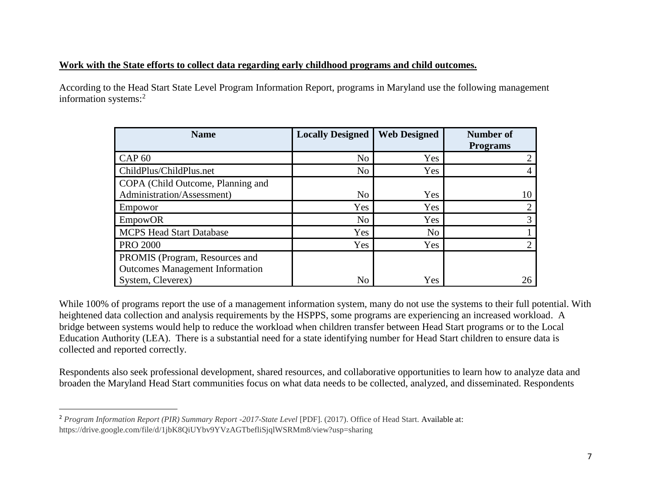# **Work with the State efforts to collect data regarding early childhood programs and child outcomes.**

According to the Head Start State Level Program Information Report, programs in Maryland use the following management information systems:<sup>2</sup>

| <b>Name</b>                            | <b>Locally Designed</b> | <b>Web Designed</b> | <b>Number of</b> |
|----------------------------------------|-------------------------|---------------------|------------------|
|                                        |                         |                     | <b>Programs</b>  |
| <b>CAP 60</b>                          | No                      | Yes                 |                  |
| ChildPlus/ChildPlus.net                | N <sub>o</sub>          | Yes                 |                  |
| COPA (Child Outcome, Planning and      |                         |                     |                  |
| Administration/Assessment)             | N <sub>o</sub>          | Yes                 | 10               |
| Empowor                                | Yes                     | Yes                 |                  |
| <b>EmpowOR</b>                         | N <sub>o</sub>          | Yes                 |                  |
| <b>MCPS Head Start Database</b>        | Yes                     | N <sub>o</sub>      |                  |
| <b>PRO 2000</b>                        | Yes                     | Yes                 |                  |
| PROMIS (Program, Resources and         |                         |                     |                  |
| <b>Outcomes Management Information</b> |                         |                     |                  |
| System, Cleverex)                      | N <sub>o</sub>          | Yes                 | 26               |

While 100% of programs report the use of a management information system, many do not use the systems to their full potential. With heightened data collection and analysis requirements by the HSPPS, some programs are experiencing an increased workload. A bridge between systems would help to reduce the workload when children transfer between Head Start programs or to the Local Education Authority (LEA). There is a substantial need for a state identifying number for Head Start children to ensure data is collected and reported correctly.

Respondents also seek professional development, shared resources, and collaborative opportunities to learn how to analyze data and broaden the Maryland Head Start communities focus on what data needs to be collected, analyzed, and disseminated. Respondents

l

<sup>2</sup> *Program Information Report (PIR) Summary Report -2017-State Level* [PDF]. (2017). Office of Head Start. Available at: https://drive.google.com/file/d/1jbK8QiUYbv9YVzAGTbefliSjqlWSRMm8/view?usp=sharing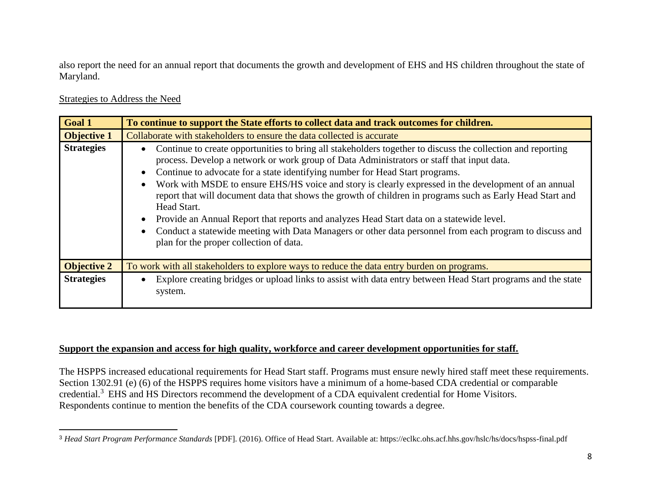also report the need for an annual report that documents the growth and development of EHS and HS children throughout the state of Maryland.

### Strategies to Address the Need

 $\overline{\phantom{a}}$ 

| <b>Goal 1</b>      | To continue to support the State efforts to collect data and track outcomes for children.                                                                                                                                                                                                                                                                                                                                                                                                                                                                                                                                                                                                                                                                                      |
|--------------------|--------------------------------------------------------------------------------------------------------------------------------------------------------------------------------------------------------------------------------------------------------------------------------------------------------------------------------------------------------------------------------------------------------------------------------------------------------------------------------------------------------------------------------------------------------------------------------------------------------------------------------------------------------------------------------------------------------------------------------------------------------------------------------|
| <b>Objective 1</b> | Collaborate with stakeholders to ensure the data collected is accurate                                                                                                                                                                                                                                                                                                                                                                                                                                                                                                                                                                                                                                                                                                         |
| <b>Strategies</b>  | Continue to create opportunities to bring all stakeholders together to discuss the collection and reporting<br>process. Develop a network or work group of Data Administrators or staff that input data.<br>Continue to advocate for a state identifying number for Head Start programs.<br>Work with MSDE to ensure EHS/HS voice and story is clearly expressed in the development of an annual<br>report that will document data that shows the growth of children in programs such as Early Head Start and<br>Head Start.<br>Provide an Annual Report that reports and analyzes Head Start data on a statewide level.<br>Conduct a statewide meeting with Data Managers or other data personnel from each program to discuss and<br>plan for the proper collection of data. |
| <b>Objective 2</b> | To work with all stakeholders to explore ways to reduce the data entry burden on programs.                                                                                                                                                                                                                                                                                                                                                                                                                                                                                                                                                                                                                                                                                     |
| <b>Strategies</b>  | Explore creating bridges or upload links to assist with data entry between Head Start programs and the state<br>system.                                                                                                                                                                                                                                                                                                                                                                                                                                                                                                                                                                                                                                                        |

# **Support the expansion and access for high quality, workforce and career development opportunities for staff.**

The HSPPS increased educational requirements for Head Start staff. Programs must ensure newly hired staff meet these requirements. Section 1302.91 (e) (6) of the HSPPS requires home visitors have a minimum of a home-based CDA credential or comparable credential.<sup>3</sup> EHS and HS Directors recommend the development of a CDA equivalent credential for Home Visitors. Respondents continue to mention the benefits of the CDA coursework counting towards a degree.

<sup>3</sup> *Head Start Program Performance Standards* [PDF]. (2016). Office of Head Start. Available at: https://eclkc.ohs.acf.hhs.gov/hslc/hs/docs/hspss-final.pdf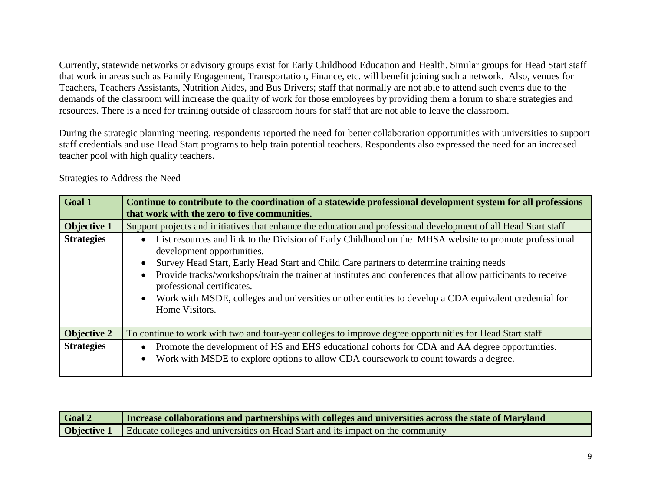Currently, statewide networks or advisory groups exist for Early Childhood Education and Health. Similar groups for Head Start staff that work in areas such as Family Engagement, Transportation, Finance, etc. will benefit joining such a network. Also, venues for Teachers, Teachers Assistants, Nutrition Aides, and Bus Drivers; staff that normally are not able to attend such events due to the demands of the classroom will increase the quality of work for those employees by providing them a forum to share strategies and resources. There is a need for training outside of classroom hours for staff that are not able to leave the classroom.

During the strategic planning meeting, respondents reported the need for better collaboration opportunities with universities to support staff credentials and use Head Start programs to help train potential teachers. Respondents also expressed the need for an increased teacher pool with high quality teachers.

| Goal 1             | Continue to contribute to the coordination of a statewide professional development system for all professions<br>that work with the zero to five communities.                                                                                                                                                                                                                                                                                                                                            |
|--------------------|----------------------------------------------------------------------------------------------------------------------------------------------------------------------------------------------------------------------------------------------------------------------------------------------------------------------------------------------------------------------------------------------------------------------------------------------------------------------------------------------------------|
| <b>Objective 1</b> | Support projects and initiatives that enhance the education and professional development of all Head Start staff                                                                                                                                                                                                                                                                                                                                                                                         |
| <b>Strategies</b>  | List resources and link to the Division of Early Childhood on the MHSA website to promote professional<br>development opportunities.<br>Survey Head Start, Early Head Start and Child Care partners to determine training needs<br>Provide tracks/workshops/train the trainer at institutes and conferences that allow participants to receive<br>professional certificates.<br>Work with MSDE, colleges and universities or other entities to develop a CDA equivalent credential for<br>Home Visitors. |
| <b>Objective 2</b> | To continue to work with two and four-year colleges to improve degree opportunities for Head Start staff                                                                                                                                                                                                                                                                                                                                                                                                 |
| <b>Strategies</b>  | Promote the development of HS and EHS educational cohorts for CDA and AA degree opportunities.<br>Work with MSDE to explore options to allow CDA coursework to count towards a degree.<br>$\bullet$                                                                                                                                                                                                                                                                                                      |

# Strategies to Address the Need

| Goal 2 | Increase collaborations and partnerships with colleges and universities across the state of Maryland |
|--------|------------------------------------------------------------------------------------------------------|
|        | <b>Objective 1</b> Educate colleges and universities on Head Start and its impact on the community   |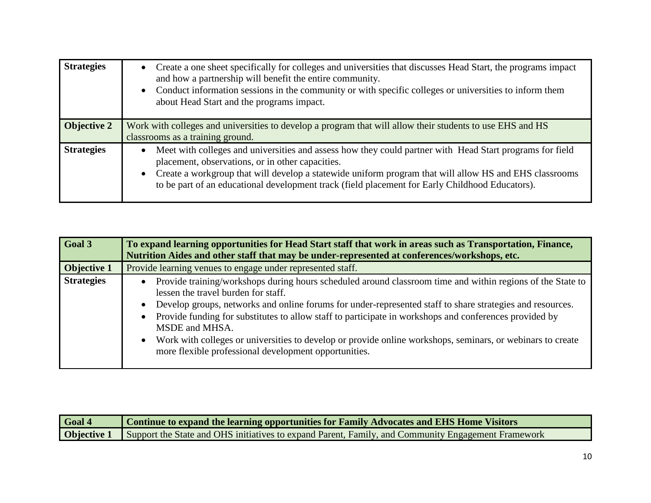| <b>Strategies</b>  | Create a one sheet specifically for colleges and universities that discusses Head Start, the programs impact<br>$\bullet$<br>and how a partnership will benefit the entire community.<br>Conduct information sessions in the community or with specific colleges or universities to inform them<br>$\bullet$<br>about Head Start and the programs impact.                              |
|--------------------|----------------------------------------------------------------------------------------------------------------------------------------------------------------------------------------------------------------------------------------------------------------------------------------------------------------------------------------------------------------------------------------|
| <b>Objective 2</b> | Work with colleges and universities to develop a program that will allow their students to use EHS and HS<br>classrooms as a training ground.                                                                                                                                                                                                                                          |
| <b>Strategies</b>  | Meet with colleges and universities and assess how they could partner with Head Start programs for field<br>placement, observations, or in other capacities.<br>Create a workgroup that will develop a statewide uniform program that will allow HS and EHS classrooms<br>$\bullet$<br>to be part of an educational development track (field placement for Early Childhood Educators). |

| Goal 3             | To expand learning opportunities for Head Start staff that work in areas such as Transportation, Finance,<br>Nutrition Aides and other staff that may be under-represented at conferences/workshops, etc.                                                                                                                                                                                                                                                                                                                                                                                   |
|--------------------|---------------------------------------------------------------------------------------------------------------------------------------------------------------------------------------------------------------------------------------------------------------------------------------------------------------------------------------------------------------------------------------------------------------------------------------------------------------------------------------------------------------------------------------------------------------------------------------------|
| <b>Objective 1</b> | Provide learning venues to engage under represented staff.                                                                                                                                                                                                                                                                                                                                                                                                                                                                                                                                  |
| <b>Strategies</b>  | Provide training/workshops during hours scheduled around classroom time and within regions of the State to<br>lessen the travel burden for staff.<br>Develop groups, networks and online forums for under-represented staff to share strategies and resources.<br>$\bullet$<br>Provide funding for substitutes to allow staff to participate in workshops and conferences provided by<br>MSDE and MHSA.<br>Work with colleges or universities to develop or provide online workshops, seminars, or webinars to create<br>$\bullet$<br>more flexible professional development opportunities. |

| Goal 4 | Continue to expand the learning opportunities for Family Advocates and EHS Home Visitors                              |
|--------|-----------------------------------------------------------------------------------------------------------------------|
|        | <b>Objective 1</b> Support the State and OHS initiatives to expand Parent, Family, and Community Engagement Framework |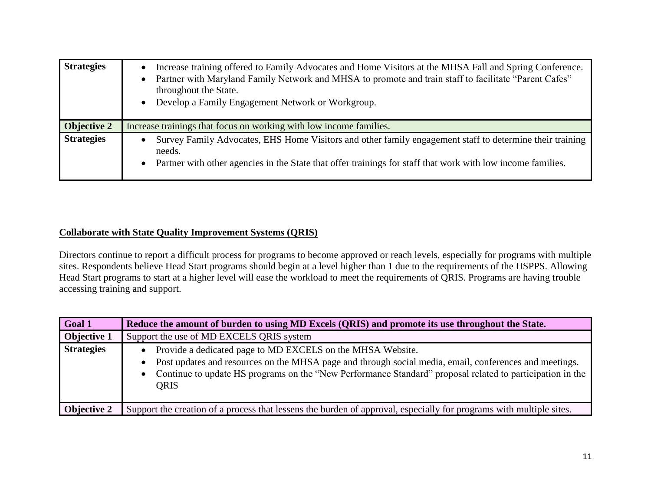| <b>Strategies</b>  | Increase training offered to Family Advocates and Home Visitors at the MHSA Fall and Spring Conference.<br>Partner with Maryland Family Network and MHSA to promote and train staff to facilitate "Parent Cafes"<br>throughout the State.<br>Develop a Family Engagement Network or Workgroup. |
|--------------------|------------------------------------------------------------------------------------------------------------------------------------------------------------------------------------------------------------------------------------------------------------------------------------------------|
| <b>Objective 2</b> | Increase trainings that focus on working with low income families.                                                                                                                                                                                                                             |
| <b>Strategies</b>  | Survey Family Advocates, EHS Home Visitors and other family engagement staff to determine their training<br>$\bullet$<br>needs.<br>Partner with other agencies in the State that offer trainings for staff that work with low income families.                                                 |

# **Collaborate with State Quality Improvement Systems (QRIS)**

Directors continue to report a difficult process for programs to become approved or reach levels, especially for programs with multiple sites. Respondents believe Head Start programs should begin at a level higher than 1 due to the requirements of the HSPPS. Allowing Head Start programs to start at a higher level will ease the workload to meet the requirements of QRIS. Programs are having trouble accessing training and support.

| Goal 1             | Reduce the amount of burden to using MD Excels (QRIS) and promote its use throughout the State.                                                                                                                                                                                                      |
|--------------------|------------------------------------------------------------------------------------------------------------------------------------------------------------------------------------------------------------------------------------------------------------------------------------------------------|
| <b>Objective 1</b> | Support the use of MD EXCELS QRIS system                                                                                                                                                                                                                                                             |
| <b>Strategies</b>  | Provide a dedicated page to MD EXCELS on the MHSA Website.<br>• Post updates and resources on the MHSA page and through social media, email, conferences and meetings.<br>• Continue to update HS programs on the "New Performance Standard" proposal related to participation in the<br><b>QRIS</b> |
| <b>Objective 2</b> | Support the creation of a process that lessens the burden of approval, especially for programs with multiple sites.                                                                                                                                                                                  |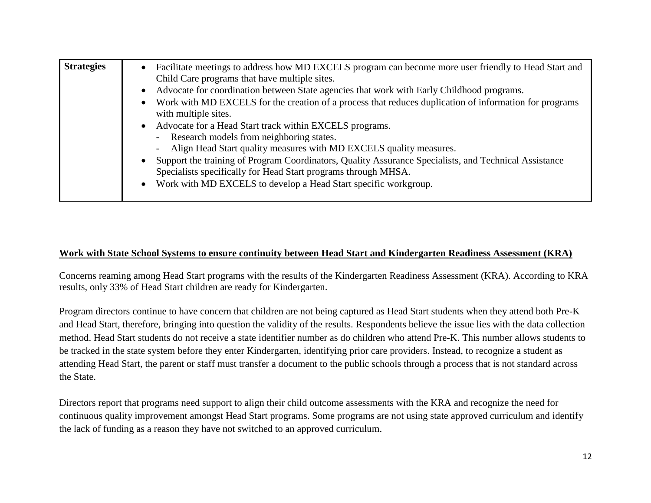# **Work with State School Systems to ensure continuity between Head Start and Kindergarten Readiness Assessment (KRA)**

Concerns reaming among Head Start programs with the results of the Kindergarten Readiness Assessment (KRA). According to KRA results, only 33% of Head Start children are ready for Kindergarten.

Program directors continue to have concern that children are not being captured as Head Start students when they attend both Pre-K and Head Start, therefore, bringing into question the validity of the results. Respondents believe the issue lies with the data collection method. Head Start students do not receive a state identifier number as do children who attend Pre-K. This number allows students to be tracked in the state system before they enter Kindergarten, identifying prior care providers. Instead, to recognize a student as attending Head Start, the parent or staff must transfer a document to the public schools through a process that is not standard across the State.

Directors report that programs need support to align their child outcome assessments with the KRA and recognize the need for continuous quality improvement amongst Head Start programs. Some programs are not using state approved curriculum and identify the lack of funding as a reason they have not switched to an approved curriculum.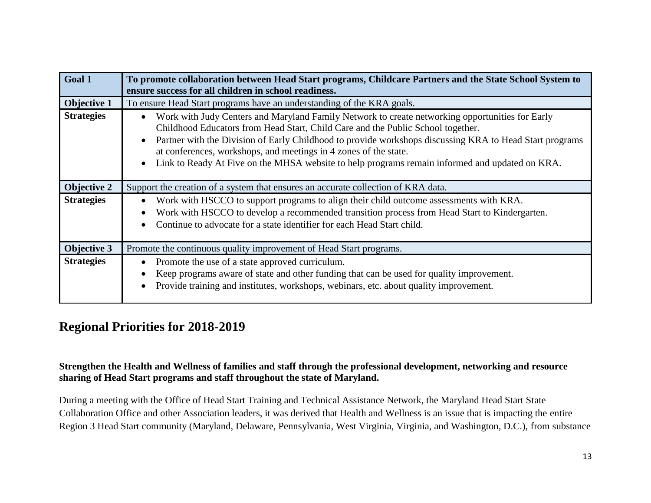| Goal 1             | To promote collaboration between Head Start programs, Childcare Partners and the State School System to                                                                                                                                                                                                                                                                                                                                                                          |
|--------------------|----------------------------------------------------------------------------------------------------------------------------------------------------------------------------------------------------------------------------------------------------------------------------------------------------------------------------------------------------------------------------------------------------------------------------------------------------------------------------------|
|                    | ensure success for all children in school readiness.                                                                                                                                                                                                                                                                                                                                                                                                                             |
| Objective 1        | To ensure Head Start programs have an understanding of the KRA goals.                                                                                                                                                                                                                                                                                                                                                                                                            |
| <b>Strategies</b>  | Work with Judy Centers and Maryland Family Network to create networking opportunities for Early<br>Childhood Educators from Head Start, Child Care and the Public School together.<br>Partner with the Division of Early Childhood to provide workshops discussing KRA to Head Start programs<br>at conferences, workshops, and meetings in 4 zones of the state.<br>Link to Ready At Five on the MHSA website to help programs remain informed and updated on KRA.<br>$\bullet$ |
| <b>Objective 2</b> | Support the creation of a system that ensures an accurate collection of KRA data.                                                                                                                                                                                                                                                                                                                                                                                                |
| <b>Strategies</b>  | Work with HSCCO to support programs to align their child outcome assessments with KRA.                                                                                                                                                                                                                                                                                                                                                                                           |
|                    | Work with HSCCO to develop a recommended transition process from Head Start to Kindergarten.                                                                                                                                                                                                                                                                                                                                                                                     |
|                    | Continue to advocate for a state identifier for each Head Start child.                                                                                                                                                                                                                                                                                                                                                                                                           |
| <b>Objective 3</b> | Promote the continuous quality improvement of Head Start programs.                                                                                                                                                                                                                                                                                                                                                                                                               |
| <b>Strategies</b>  | Promote the use of a state approved curriculum.                                                                                                                                                                                                                                                                                                                                                                                                                                  |
|                    | Keep programs aware of state and other funding that can be used for quality improvement.                                                                                                                                                                                                                                                                                                                                                                                         |
|                    | Provide training and institutes, workshops, webinars, etc. about quality improvement.                                                                                                                                                                                                                                                                                                                                                                                            |

# **Regional Priorities for 2018-2019**

**Strengthen the Health and Wellness of families and staff through the professional development, networking and resource sharing of Head Start programs and staff throughout the state of Maryland.** 

During a meeting with the Office of Head Start Training and Technical Assistance Network, the Maryland Head Start State Collaboration Office and other Association leaders, it was derived that Health and Wellness is an issue that is impacting the entire Region 3 Head Start community (Maryland, Delaware, Pennsylvania, West Virginia, Virginia, and Washington, D.C.), from substance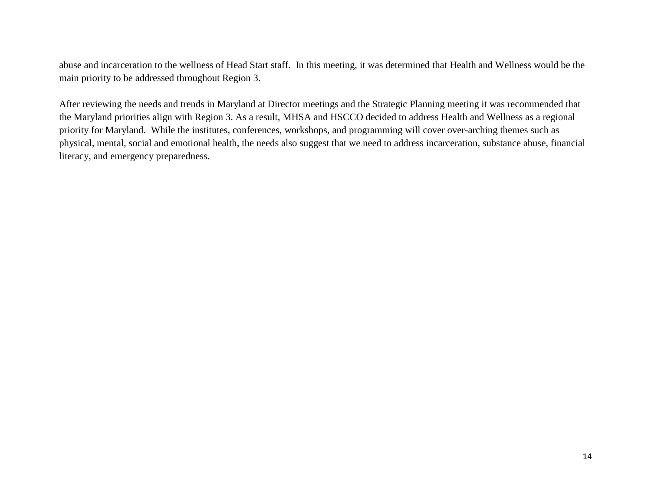abuse and incarceration to the wellness of Head Start staff. In this meeting, it was determined that Health and Wellness would be the main priority to be addressed throughout Region 3.

After reviewing the needs and trends in Maryland at Director meetings and the Strategic Planning meeting it was recommended that the Maryland priorities align with Region 3. As a result, MHSA and HSCCO decided to address Health and Wellness as a regional priority for Maryland. While the institutes, conferences, workshops, and programming will cover over-arching themes such as physical, mental, social and emotional health, the needs also suggest that we need to address incarceration, substance abuse, financial literacy, and emergency preparedness.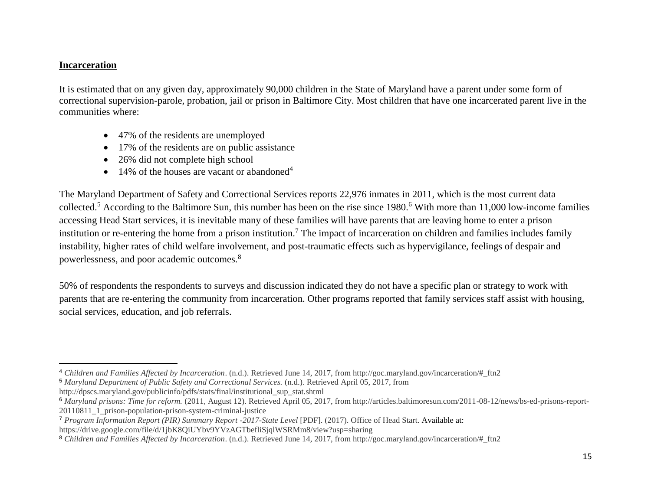# **Incarceration**

 $\overline{\phantom{a}}$ 

It is estimated that on any given day, approximately 90,000 children in the State of Maryland have a parent under some form of correctional supervision-parole, probation, jail or prison in Baltimore City. Most children that have one incarcerated parent live in the communities where:

- 47% of the residents are unemployed
- 17% of the residents are on public assistance
- 26% did not complete high school
- 14% of the houses are vacant or abandoned<sup>4</sup>

The Maryland Department of Safety and Correctional Services reports 22,976 inmates in 2011, which is the most current data collected.<sup>5</sup> According to the Baltimore Sun, this number has been on the rise since 1980.<sup>6</sup> With more than 11,000 low-income families accessing Head Start services, it is inevitable many of these families will have parents that are leaving home to enter a prison institution or re-entering the home from a prison institution.<sup>7</sup> The impact of incarceration on children and families includes family instability, higher rates of child welfare involvement, and post-traumatic effects such as hypervigilance, feelings of despair and powerlessness, and poor academic outcomes.<sup>8</sup>

50% of respondents the respondents to surveys and discussion indicated they do not have a specific plan or strategy to work with parents that are re-entering the community from incarceration. Other programs reported that family services staff assist with housing, social services, education, and job referrals.

<sup>5</sup> *Maryland Department of Public Safety and Correctional Services.* (n.d.). Retrieved April 05, 2017, from http://dpscs.maryland.gov/publicinfo/pdfs/stats/final/institutional\_sup\_stat.shtml

<sup>4</sup> *Children and Families Affected by Incarceration*. (n.d.). Retrieved June 14, 2017, from http://goc.maryland.gov/incarceration/#\_ftn2

<sup>6</sup> *Maryland prisons: Time for reform.* (2011, August 12). Retrieved April 05, 2017, from http://articles.baltimoresun.com/2011-08-12/news/bs-ed-prisons-report-20110811\_1\_prison-population-prison-system-criminal-justice

<sup>7</sup> *Program Information Report (PIR) Summary Report -2017-State Level* [PDF]. (2017). Office of Head Start. Available at:

https://drive.google.com/file/d/1jbK8QiUYbv9YVzAGTbefliSjqlWSRMm8/view?usp=sharing

<sup>8</sup> *Children and Families Affected by Incarceration*. (n.d.). Retrieved June 14, 2017, from http://goc.maryland.gov/incarceration/#\_ftn2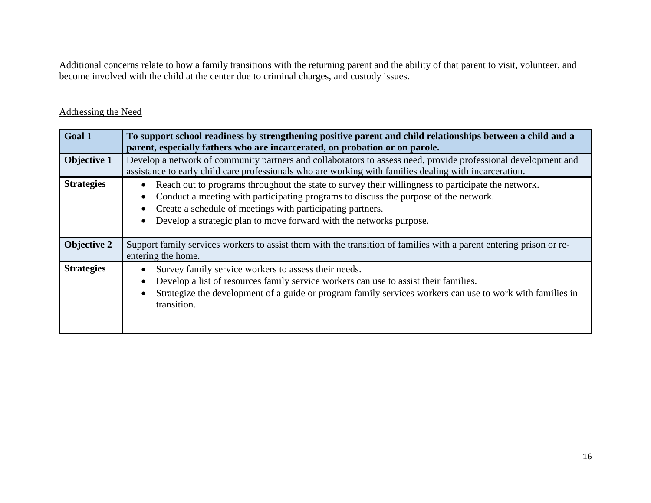Additional concerns relate to how a family transitions with the returning parent and the ability of that parent to visit, volunteer, and become involved with the child at the center due to criminal charges, and custody issues.

| Goal 1             | To support school readiness by strengthening positive parent and child relationships between a child and a<br>parent, especially fathers who are incarcerated, on probation or on parole.                                                                                                                                       |
|--------------------|---------------------------------------------------------------------------------------------------------------------------------------------------------------------------------------------------------------------------------------------------------------------------------------------------------------------------------|
| <b>Objective 1</b> | Develop a network of community partners and collaborators to assess need, provide professional development and<br>assistance to early child care professionals who are working with families dealing with incarceration.                                                                                                        |
| <b>Strategies</b>  | Reach out to programs throughout the state to survey their willingness to participate the network.<br>Conduct a meeting with participating programs to discuss the purpose of the network.<br>Create a schedule of meetings with participating partners.<br>Develop a strategic plan to move forward with the networks purpose. |
| <b>Objective 2</b> | Support family services workers to assist them with the transition of families with a parent entering prison or re-<br>entering the home.                                                                                                                                                                                       |
| <b>Strategies</b>  | Survey family service workers to assess their needs.<br>Develop a list of resources family service workers can use to assist their families.<br>Strategize the development of a guide or program family services workers can use to work with families in<br>transition.                                                        |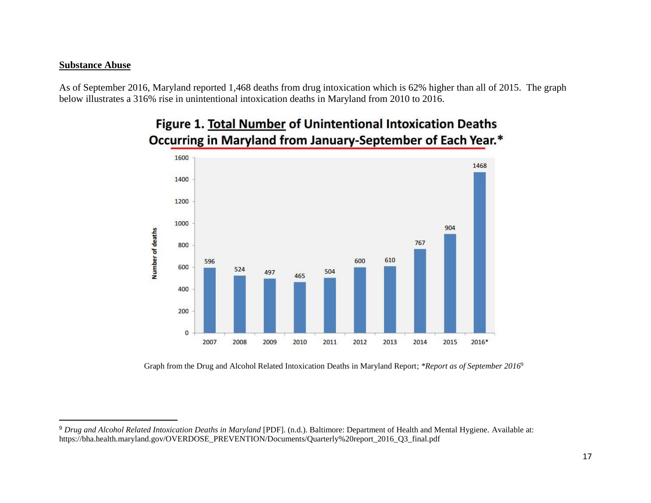#### **Substance Abuse**

 $\overline{a}$ 

As of September 2016, Maryland reported 1,468 deaths from drug intoxication which is 62% higher than all of 2015. The graph below illustrates a 316% rise in unintentional intoxication deaths in Maryland from 2010 to 2016.



# Figure 1. Total Number of Unintentional Intoxication Deaths Occurring in Maryland from January-September of Each Year.\*

Graph from the Drug and Alcohol Related Intoxication Deaths in Maryland Report; *\*Report as of September 2016*<sup>9</sup>

<sup>9</sup> *Drug and Alcohol Related Intoxication Deaths in Maryland* [PDF]. (n.d.). Baltimore: Department of Health and Mental Hygiene. Available at: https://bha.health.maryland.gov/OVERDOSE\_PREVENTION/Documents/Quarterly%20report\_2016\_Q3\_final.pdf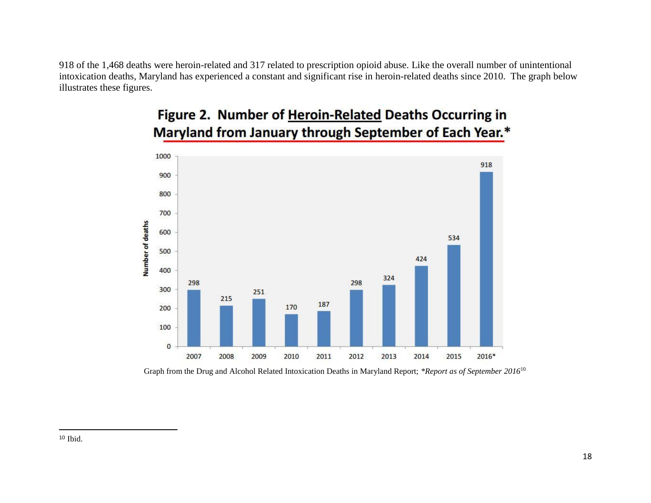918 of the 1,468 deaths were heroin-related and 317 related to prescription opioid abuse. Like the overall number of unintentional intoxication deaths, Maryland has experienced a constant and significant rise in heroin-related deaths since 2010. The graph below illustrates these figures.



# Figure 2. Number of Heroin-Related Deaths Occurring in Maryland from January through September of Each Year.\*

Graph from the Drug and Alcohol Related Intoxication Deaths in Maryland Report; *\*Report as of September 2016*<sup>10</sup>

 $\overline{\phantom{a}}$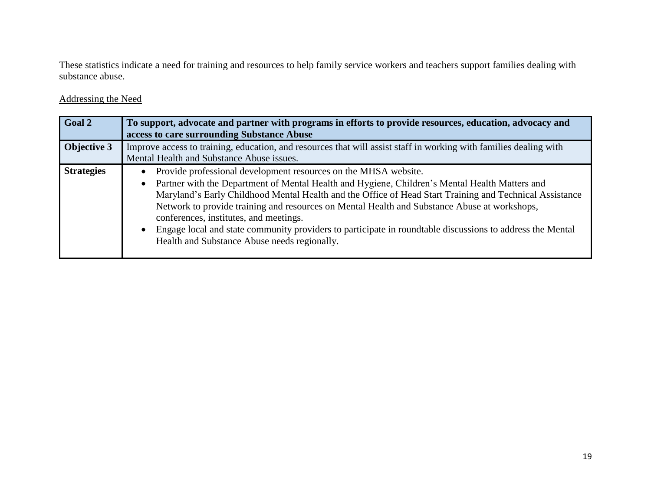These statistics indicate a need for training and resources to help family service workers and teachers support families dealing with substance abuse.

| Goal 2            | To support, advocate and partner with programs in efforts to provide resources, education, advocacy and<br>access to care surrounding Substance Abuse                                                                                                                                                                                                                                                                                                                                                                                                                               |
|-------------------|-------------------------------------------------------------------------------------------------------------------------------------------------------------------------------------------------------------------------------------------------------------------------------------------------------------------------------------------------------------------------------------------------------------------------------------------------------------------------------------------------------------------------------------------------------------------------------------|
| Objective 3       | Improve access to training, education, and resources that will assist staff in working with families dealing with                                                                                                                                                                                                                                                                                                                                                                                                                                                                   |
|                   | Mental Health and Substance Abuse issues.                                                                                                                                                                                                                                                                                                                                                                                                                                                                                                                                           |
| <b>Strategies</b> | Provide professional development resources on the MHSA website.<br>Partner with the Department of Mental Health and Hygiene, Children's Mental Health Matters and<br>Maryland's Early Childhood Mental Health and the Office of Head Start Training and Technical Assistance<br>Network to provide training and resources on Mental Health and Substance Abuse at workshops,<br>conferences, institutes, and meetings.<br>Engage local and state community providers to participate in roundtable discussions to address the Mental<br>Health and Substance Abuse needs regionally. |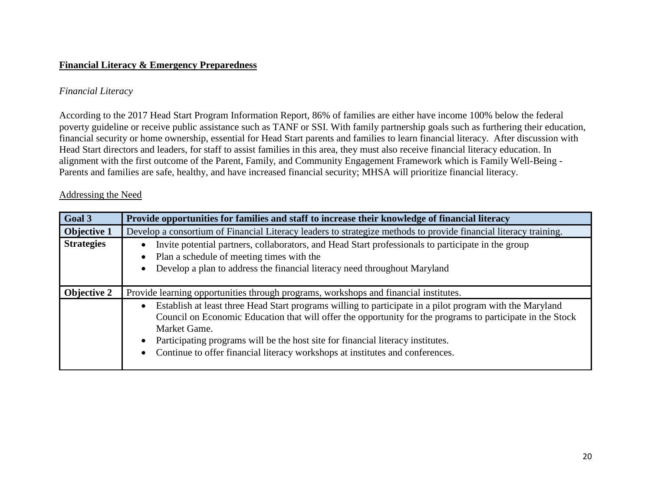# **Financial Literacy & Emergency Preparedness**

# *Financial Literacy*

According to the 2017 Head Start Program Information Report, 86% of families are either have income 100% below the federal poverty guideline or receive public assistance such as TANF or SSI. With family partnership goals such as furthering their education, financial security or home ownership, essential for Head Start parents and families to learn financial literacy. After discussion with Head Start directors and leaders, for staff to assist families in this area, they must also receive financial literacy education. In alignment with the first outcome of the Parent, Family, and Community Engagement Framework which is Family Well-Being - Parents and families are safe, healthy, and have increased financial security; MHSA will prioritize financial literacy.

| Goal 3             | Provide opportunities for families and staff to increase their knowledge of financial literacy                                                                                                                                                                                                                                                                                                             |
|--------------------|------------------------------------------------------------------------------------------------------------------------------------------------------------------------------------------------------------------------------------------------------------------------------------------------------------------------------------------------------------------------------------------------------------|
| <b>Objective 1</b> | Develop a consortium of Financial Literacy leaders to strategize methods to provide financial literacy training.                                                                                                                                                                                                                                                                                           |
| <b>Strategies</b>  | Invite potential partners, collaborators, and Head Start professionals to participate in the group<br>Plan a schedule of meeting times with the<br>Develop a plan to address the financial literacy need throughout Maryland                                                                                                                                                                               |
| <b>Objective 2</b> | Provide learning opportunities through programs, workshops and financial institutes.                                                                                                                                                                                                                                                                                                                       |
|                    | Establish at least three Head Start programs willing to participate in a pilot program with the Maryland<br>Council on Economic Education that will offer the opportunity for the programs to participate in the Stock<br>Market Game.<br>Participating programs will be the host site for financial literacy institutes.<br>Continue to offer financial literacy workshops at institutes and conferences. |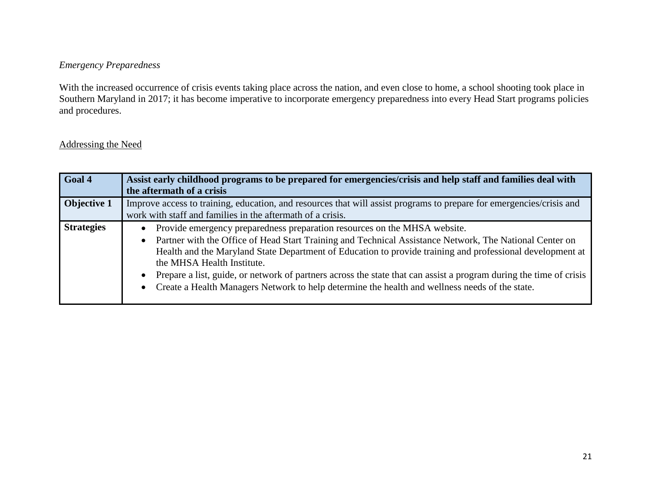# *Emergency Preparedness*

With the increased occurrence of crisis events taking place across the nation, and even close to home, a school shooting took place in Southern Maryland in 2017; it has become imperative to incorporate emergency preparedness into every Head Start programs policies and procedures.

| Goal 4             | Assist early childhood programs to be prepared for emergencies/crisis and help staff and families deal with<br>the aftermath of a crisis                                                                                                                                                                                                                                                                                                                                                                                                                |
|--------------------|---------------------------------------------------------------------------------------------------------------------------------------------------------------------------------------------------------------------------------------------------------------------------------------------------------------------------------------------------------------------------------------------------------------------------------------------------------------------------------------------------------------------------------------------------------|
| <b>Objective 1</b> | Improve access to training, education, and resources that will assist programs to prepare for emergencies/crisis and<br>work with staff and families in the aftermath of a crisis.                                                                                                                                                                                                                                                                                                                                                                      |
| <b>Strategies</b>  | Provide emergency preparedness preparation resources on the MHSA website.<br>Partner with the Office of Head Start Training and Technical Assistance Network, The National Center on<br>Health and the Maryland State Department of Education to provide training and professional development at<br>the MHSA Health Institute.<br>Prepare a list, guide, or network of partners across the state that can assist a program during the time of crisis<br>Create a Health Managers Network to help determine the health and wellness needs of the state. |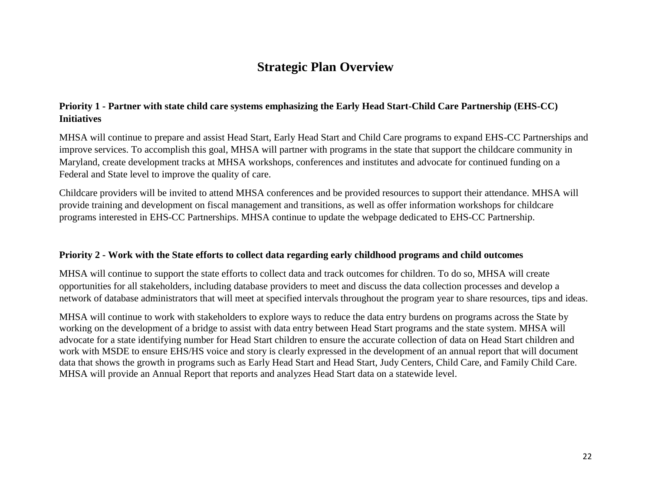# **Strategic Plan Overview**

# **Priority 1 - Partner with state child care systems emphasizing the Early Head Start-Child Care Partnership (EHS-CC) Initiatives**

MHSA will continue to prepare and assist Head Start, Early Head Start and Child Care programs to expand EHS-CC Partnerships and improve services. To accomplish this goal, MHSA will partner with programs in the state that support the childcare community in Maryland, create development tracks at MHSA workshops, conferences and institutes and advocate for continued funding on a Federal and State level to improve the quality of care.

Childcare providers will be invited to attend MHSA conferences and be provided resources to support their attendance. MHSA will provide training and development on fiscal management and transitions, as well as offer information workshops for childcare programs interested in EHS-CC Partnerships. MHSA continue to update the webpage dedicated to EHS-CC Partnership.

## **Priority 2 - Work with the State efforts to collect data regarding early childhood programs and child outcomes**

MHSA will continue to support the state efforts to collect data and track outcomes for children. To do so, MHSA will create opportunities for all stakeholders, including database providers to meet and discuss the data collection processes and develop a network of database administrators that will meet at specified intervals throughout the program year to share resources, tips and ideas.

MHSA will continue to work with stakeholders to explore ways to reduce the data entry burdens on programs across the State by working on the development of a bridge to assist with data entry between Head Start programs and the state system. MHSA will advocate for a state identifying number for Head Start children to ensure the accurate collection of data on Head Start children and work with MSDE to ensure EHS/HS voice and story is clearly expressed in the development of an annual report that will document data that shows the growth in programs such as Early Head Start and Head Start, Judy Centers, Child Care, and Family Child Care. MHSA will provide an Annual Report that reports and analyzes Head Start data on a statewide level.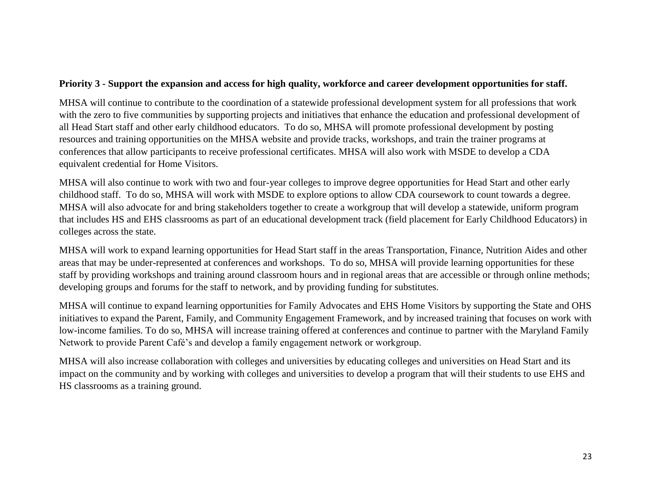# **Priority 3 - Support the expansion and access for high quality, workforce and career development opportunities for staff.**

MHSA will continue to contribute to the coordination of a statewide professional development system for all professions that work with the zero to five communities by supporting projects and initiatives that enhance the education and professional development of all Head Start staff and other early childhood educators. To do so, MHSA will promote professional development by posting resources and training opportunities on the MHSA website and provide tracks, workshops, and train the trainer programs at conferences that allow participants to receive professional certificates. MHSA will also work with MSDE to develop a CDA equivalent credential for Home Visitors.

MHSA will also continue to work with two and four-year colleges to improve degree opportunities for Head Start and other early childhood staff. To do so, MHSA will work with MSDE to explore options to allow CDA coursework to count towards a degree. MHSA will also advocate for and bring stakeholders together to create a workgroup that will develop a statewide, uniform program that includes HS and EHS classrooms as part of an educational development track (field placement for Early Childhood Educators) in colleges across the state.

MHSA will work to expand learning opportunities for Head Start staff in the areas Transportation, Finance, Nutrition Aides and other areas that may be under-represented at conferences and workshops. To do so, MHSA will provide learning opportunities for these staff by providing workshops and training around classroom hours and in regional areas that are accessible or through online methods; developing groups and forums for the staff to network, and by providing funding for substitutes.

MHSA will continue to expand learning opportunities for Family Advocates and EHS Home Visitors by supporting the State and OHS initiatives to expand the Parent, Family, and Community Engagement Framework, and by increased training that focuses on work with low-income families. To do so, MHSA will increase training offered at conferences and continue to partner with the Maryland Family Network to provide Parent Café's and develop a family engagement network or workgroup.

MHSA will also increase collaboration with colleges and universities by educating colleges and universities on Head Start and its impact on the community and by working with colleges and universities to develop a program that will their students to use EHS and HS classrooms as a training ground.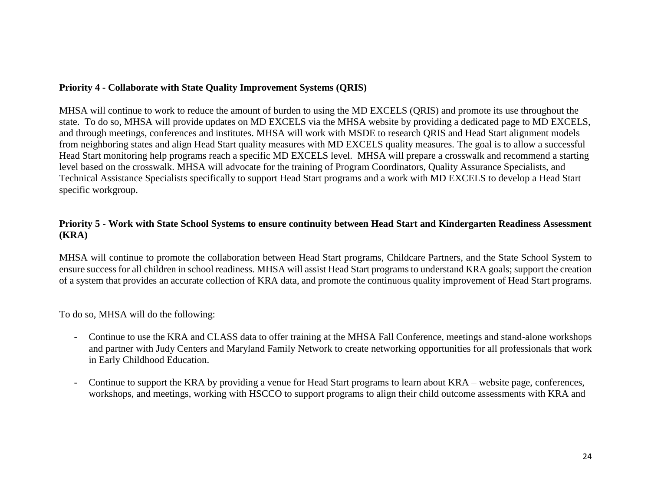# **Priority 4 - Collaborate with State Quality Improvement Systems (QRIS)**

MHSA will continue to work to reduce the amount of burden to using the MD EXCELS (QRIS) and promote its use throughout the state. To do so, MHSA will provide updates on MD EXCELS via the MHSA website by providing a dedicated page to MD EXCELS, and through meetings, conferences and institutes. MHSA will work with MSDE to research QRIS and Head Start alignment models from neighboring states and align Head Start quality measures with MD EXCELS quality measures. The goal is to allow a successful Head Start monitoring help programs reach a specific MD EXCELS level. MHSA will prepare a crosswalk and recommend a starting level based on the crosswalk. MHSA will advocate for the training of Program Coordinators, Quality Assurance Specialists, and Technical Assistance Specialists specifically to support Head Start programs and a work with MD EXCELS to develop a Head Start specific workgroup.

# **Priority 5 - Work with State School Systems to ensure continuity between Head Start and Kindergarten Readiness Assessment (KRA)**

MHSA will continue to promote the collaboration between Head Start programs, Childcare Partners, and the State School System to ensure success for all children in school readiness. MHSA will assist Head Start programs to understand KRA goals; support the creation of a system that provides an accurate collection of KRA data, and promote the continuous quality improvement of Head Start programs.

To do so, MHSA will do the following:

- Continue to use the KRA and CLASS data to offer training at the MHSA Fall Conference, meetings and stand-alone workshops and partner with Judy Centers and Maryland Family Network to create networking opportunities for all professionals that work in Early Childhood Education.
- Continue to support the KRA by providing a venue for Head Start programs to learn about KRA website page, conferences, workshops, and meetings, working with HSCCO to support programs to align their child outcome assessments with KRA and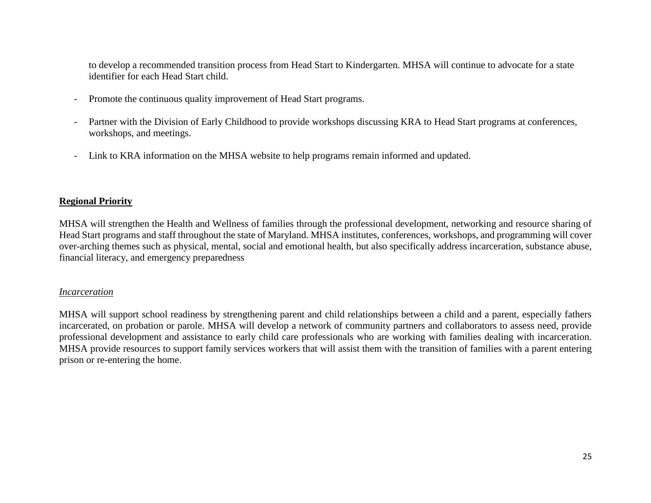to develop a recommended transition process from Head Start to Kindergarten. MHSA will continue to advocate for a state identifier for each Head Start child.

- Promote the continuous quality improvement of Head Start programs.
- Partner with the Division of Early Childhood to provide workshops discussing KRA to Head Start programs at conferences, workshops, and meetings.
- Link to KRA information on the MHSA website to help programs remain informed and updated.

#### **Regional Priority**

MHSA will strengthen the Health and Wellness of families through the professional development, networking and resource sharing of Head Start programs and staff throughout the state of Maryland. MHSA institutes, conferences, workshops, and programming will cover over-arching themes such as physical, mental, social and emotional health, but also specifically address incarceration, substance abuse, financial literacy, and emergency preparedness

#### *Incarceration*

MHSA will support school readiness by strengthening parent and child relationships between a child and a parent, especially fathers incarcerated, on probation or parole. MHSA will develop a network of community partners and collaborators to assess need, provide professional development and assistance to early child care professionals who are working with families dealing with incarceration. MHSA provide resources to support family services workers that will assist them with the transition of families with a parent entering prison or re-entering the home.